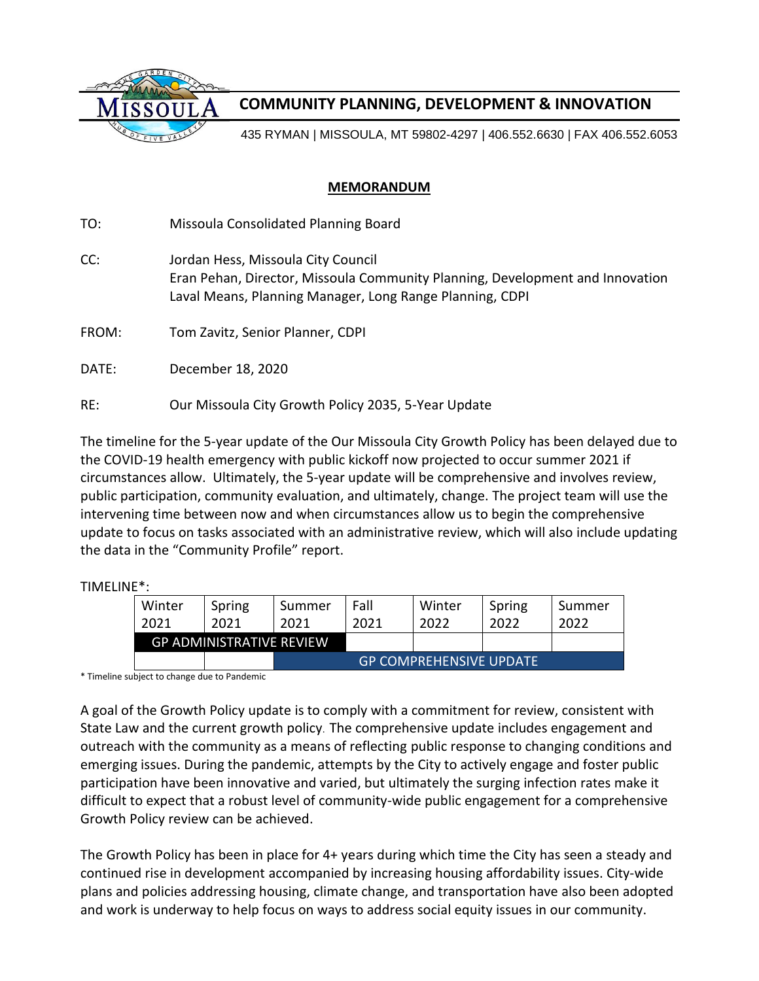

## **COMMUNITY PLANNING, DEVELOPMENT & INNOVATION**

435 RYMAN | MISSOULA, MT 59802-4297 | 406.552.6630 | FAX 406.552.6053

## **MEMORANDUM**

TO: Missoula Consolidated Planning Board CC: Jordan Hess, Missoula City Council Eran Pehan, Director, Missoula Community Planning, Development and Innovation Laval Means, Planning Manager, Long Range Planning, CDPI FROM: Tom Zavitz, Senior Planner, CDPI DATE: December 18, 2020 RE: Our Missoula City Growth Policy 2035, 5-Year Update

The timeline for the 5-year update of the Our Missoula City Growth Policy has been delayed due to the COVID-19 health emergency with public kickoff now projected to occur summer 2021 if circumstances allow. Ultimately, the 5-year update will be comprehensive and involves review, public participation, community evaluation, and ultimately, change. The project team will use the intervening time between now and when circumstances allow us to begin the comprehensive update to focus on tasks associated with an administrative review, which will also include updating the data in the "Community Profile" report.

TIMELINE\*:

| Winter | Spring                          | Summer                         | Fall | Winter | Spring | Summer |
|--------|---------------------------------|--------------------------------|------|--------|--------|--------|
| 2021   | 2021                            | 2021                           | 2021 | 2022   | 2022   | 2022   |
|        | <b>GP ADMINISTRATIVE REVIEW</b> |                                |      |        |        |        |
|        |                                 | <b>GP COMPREHENSIVE UPDATE</b> |      |        |        |        |

\* Timeline subject to change due to Pandemic

A goal of the Growth Policy update is to comply with a commitment for review, consistent with State Law and the current growth policy. The comprehensive update includes engagement and outreach with the community as a means of reflecting public response to changing conditions and emerging issues. During the pandemic, attempts by the City to actively engage and foster public participation have been innovative and varied, but ultimately the surging infection rates make it difficult to expect that a robust level of community-wide public engagement for a comprehensive Growth Policy review can be achieved.

The Growth Policy has been in place for 4+ years during which time the City has seen a steady and continued rise in development accompanied by increasing housing affordability issues. City-wide plans and policies addressing housing, climate change, and transportation have also been adopted and work is underway to help focus on ways to address social equity issues in our community.